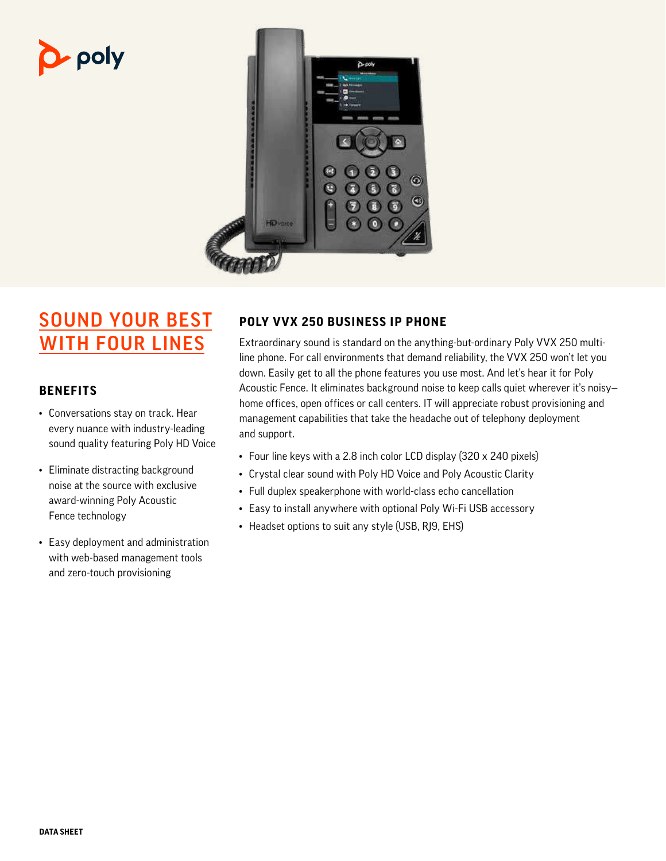# p- poly



## SOUND YOUR BEST WITH FOUR LINES

#### **BENEFITS**

- Conversations stay on track. Hear every nuance with industry-leading sound quality featuring Poly HD Voice
- Eliminate distracting background noise at the source with exclusive award-winning Poly Acoustic Fence technology
- Easy deployment and administration with web-based management tools and zero-touch provisioning

### **POLY VVX 250 BUSINESS IP PHONE**

Extraordinary sound is standard on the anything-but-ordinary Poly VVX 250 multiline phone. For call environments that demand reliability, the VVX 250 won't let you down. Easily get to all the phone features you use most. And let's hear it for Poly Acoustic Fence. It eliminates background noise to keep calls quiet wherever it's noisy home offices, open offices or call centers. IT will appreciate robust provisioning and management capabilities that take the headache out of telephony deployment and support.

- Four line keys with a 2.8 inch color LCD display (320 x 240 pixels)
- Crystal clear sound with Poly HD Voice and Poly Acoustic Clarity
- Full duplex speakerphone with world-class echo cancellation
- Easy to install anywhere with optional Poly Wi-Fi USB accessory
- Headset options to suit any style (USB, RJ9, EHS)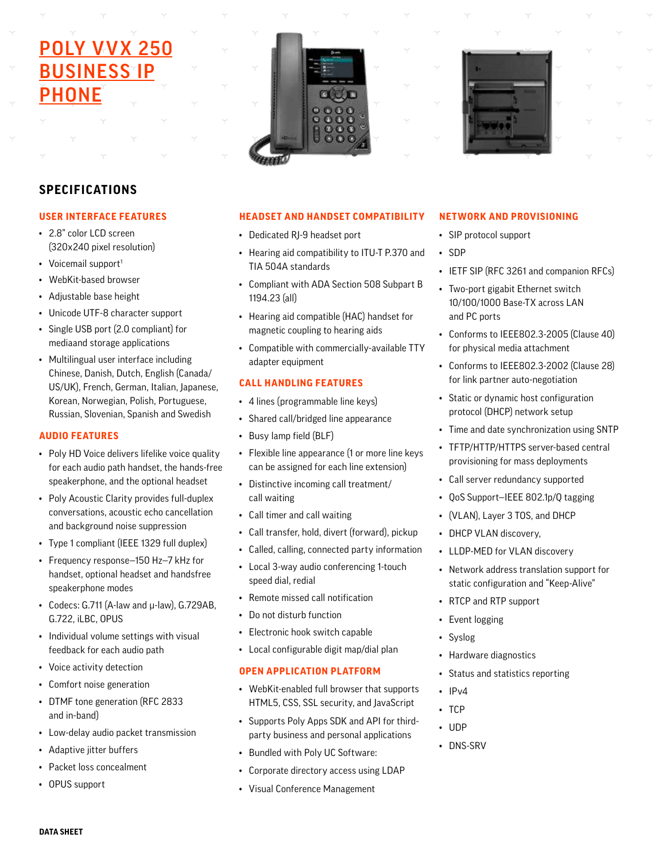## **POLY VVX 250 BUSINESS IP** PHONE





#### **SPECIFICATIONS**

#### **USER INTERFACE FEATURES**

- 2.8" color LCD screen (320x240 pixel resolution)
- Voicemail support<sup>1</sup>
- WebKit-based browser
- Adjustable base height
- Unicode UTF-8 character support
- Single USB port (2.0 compliant) for mediaand storage applications
- Multilingual user interface including Chinese, Danish, Dutch, English (Canada/ US/UK), French, German, Italian, Japanese, Korean, Norwegian, Polish, Portuguese, Russian, Slovenian, Spanish and Swedish

#### **AUDIO FEATURES**

- Poly HD Voice delivers lifelike voice quality for each audio path handset, the hands-free speakerphone, and the optional headset
- Poly Acoustic Clarity provides full-duplex conversations, acoustic echo cancellation and background noise suppression
- Type 1 compliant (IEEE 1329 full duplex)
- Frequency response—150 Hz—7 kHz for handset, optional headset and handsfree speakerphone modes
- Codecs: G.711 (A-law and μ-law), G.729AB, G.722, iLBC, OPUS
- Individual volume settings with visual feedback for each audio path
- Voice activity detection
- Comfort noise generation
- DTMF tone generation (RFC 2833 and in-band)
- Low-delay audio packet transmission
- Adaptive jitter buffers
- Packet loss concealment
- OPUS support

#### **NETWORK AND PROVISIONING**

- SIP protocol support
- SDP
- IETF SIP (RFC 3261 and companion RFCs)
- Two-port gigabit Ethernet switch 10/100/1000 Base-TX across LAN and PC ports
- Conforms to IEEE802.3-2005 (Clause 40) for physical media attachment
- Conforms to IEEE802.3-2002 (Clause 28) for link partner auto-negotiation
- Static or dynamic host configuration protocol (DHCP) network setup
- Time and date synchronization using SNTP
- TFTP/HTTP/HTTPS server-based central provisioning for mass deployments
- Call server redundancy supported
- QoS Support—IEEE 802.1p/Q tagging
- (VLAN), Layer 3 TOS, and DHCP
- DHCP VLAN discovery,
- LLDP-MED for VLAN discovery
- Network address translation support for static configuration and "Keep-Alive"
- RTCP and RTP support
- Event logging
- Syslog
- Hardware diagnostics
- Status and statistics reporting
- IPv4
- TCP
- UDP
- DNS-SRV
- Corporate directory access using LDAP
- Visual Conference Management

• Bundled with Poly UC Software:



**HEADSET AND HANDSET COMPATIBILITY**

• Hearing aid compatibility to ITU-T P.370 and

• Compliant with ADA Section 508 Subpart B

• Hearing aid compatible (HAC) handset for magnetic coupling to hearing aids

• Compatible with commercially-available TTY

• Flexible line appearance (1 or more line keys can be assigned for each line extension) • Distinctive incoming call treatment/

• Call transfer, hold, divert (forward), pickup • Called, calling, connected party information • Local 3-way audio conferencing 1-touch

• Dedicated RJ-9 headset port

TIA 504A standards

adapter equipment

• Busy lamp field (BLF)

• Call timer and call waiting

• Remote missed call notification

• Electronic hook switch capable • Local configurable digit map/dial plan

**OPEN APPLICATION PLATFORM**

• WebKit-enabled full browser that supports HTML5, CSS, SSL security, and JavaScript • Supports Poly Apps SDK and API for thirdparty business and personal applications

speed dial, redial

• Do not disturb function

call waiting

**CALL HANDLING FEATURES** • 4 lines (programmable line keys) • Shared call/bridged line appearance

1194.23 (all)